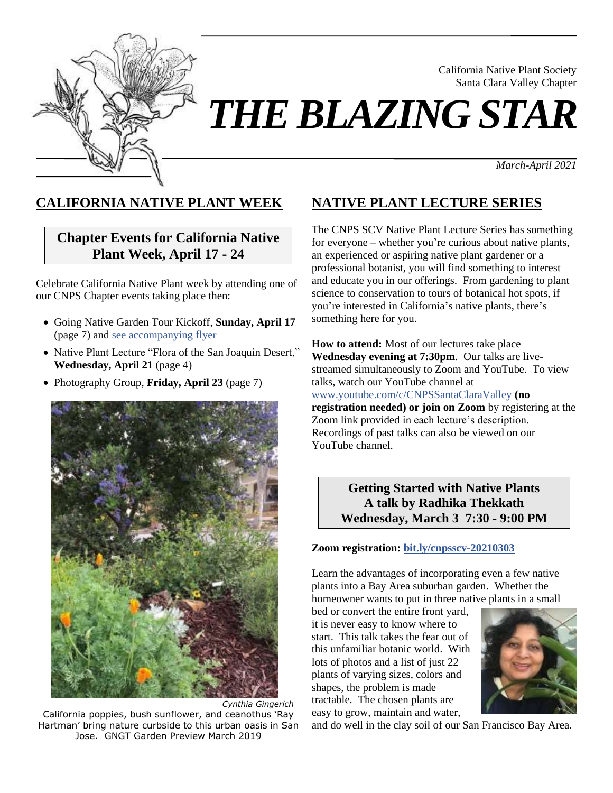

California Native Plant Society Santa Clara Valley Chapter

# *THE BLAZING STAR*

*March-April 2021*

# **CALIFORNIA NATIVE PLANT WEEK**

# **Chapter Events for California Native Plant Week, April 17 - 24**

Celebrate California Native Plant week by attending one of our CNPS Chapter events taking place then:

- Going Native Garden Tour Kickoff, **Sunday, April 17** (page 7) an[d see accompanying flyer](https://www.cnps-scv.org/images/flyers/going-native-garden-tour2021.pdf)
- Native Plant Lecture "Flora of the San Joaquin Desert," **Wednesday, April 21** (page 4)
- Photography Group, **Friday, April 23** (page 7)



*Cynthia Gingerich* California poppies, bush sunflower, and ceanothus 'Ray Hartman' bring nature curbside to this urban oasis in San Jose. GNGT Garden Preview March 2019

# **NATIVE PLANT LECTURE SERIES**

The CNPS SCV Native Plant Lecture Series has something for everyone – whether you're curious about native plants, an experienced or aspiring native plant gardener or a professional botanist, you will find something to interest and educate you in our offerings. From gardening to plant science to conservation to tours of botanical hot spots, if you're interested in California's native plants, there's something here for you.

**How to attend:** Most of our lectures take place **Wednesday evening at 7:30pm**. Our talks are livestreamed simultaneously to Zoom and YouTube. To view talks, watch our YouTube channel at [www.youtube.com/c/CNPSSantaClaraValley](https://www.youtube.com/c/CNPSSantaClaraValley) **(no** 

**registration needed) or join on Zoom** by registering at the Zoom link provided in each lecture's description. Recordings of past talks can also be viewed on our YouTube channel.

> **Getting Started with Native Plants A talk by Radhika Thekkath Wednesday, March 3 7:30 - 9:00 PM**

#### **Zoom registration: [bit.ly/cnpsscv-20210303](https://bit.ly/cnpsscv-20210303)**

Learn the advantages of incorporating even a few native plants into a Bay Area suburban garden. Whether the homeowner wants to put in three native plants in a small

bed or convert the entire front yard, it is never easy to know where to start. This talk takes the fear out of this unfamiliar botanic world. With lots of photos and a list of just 22 plants of varying sizes, colors and shapes, the problem is made tractable. The chosen plants are easy to grow, maintain and water,



and do well in the clay soil of our San Francisco Bay Area.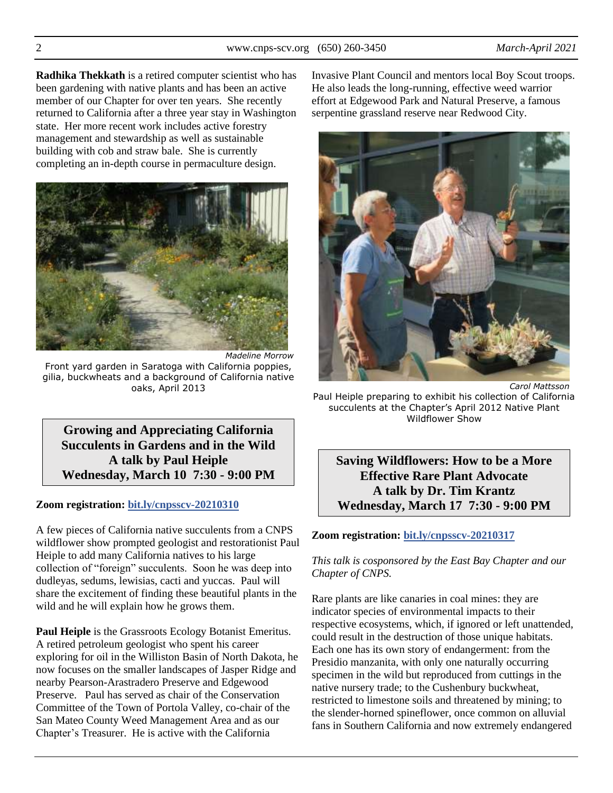**Radhika Thekkath** is a retired computer scientist who has been gardening with native plants and has been an active member of our Chapter for over ten years. She recently returned to California after a three year stay in Washington state. Her more recent work includes active forestry management and stewardship as well as sustainable building with cob and straw bale. She is currently completing an in-depth course in permaculture design.



*Madeline Morrow* Front yard garden in Saratoga with California poppies, gilia, buckwheats and a background of California native oaks, April 2013

**Growing and Appreciating California Succulents in Gardens and in the Wild A talk by Paul Heiple Wednesday, March 10 7:30 - 9:00 PM**

#### **Zoom registration: [bit.ly/cnpsscv-20210310](https://bit.ly/cnpsscv-20210310)**

A few pieces of California native succulents from a CNPS wildflower show prompted geologist and restorationist Paul Heiple to add many California natives to his large collection of "foreign" succulents. Soon he was deep into dudleyas, sedums, lewisias, cacti and yuccas. Paul will share the excitement of finding these beautiful plants in the wild and he will explain how he grows them.

**Paul Heiple** is the Grassroots Ecology Botanist Emeritus. A retired petroleum geologist who spent his career exploring for oil in the Williston Basin of North Dakota, he now focuses on the smaller landscapes of Jasper Ridge and nearby Pearson-Arastradero Preserve and Edgewood Preserve. Paul has served as chair of the Conservation Committee of the Town of Portola Valley, co-chair of the San Mateo County Weed Management Area and as our Chapter's Treasurer. He is active with the California

Invasive Plant Council and mentors local Boy Scout troops. He also leads the long-running, effective weed warrior effort at Edgewood Park and Natural Preserve, a famous serpentine grassland reserve near Redwood City.



Paul Heiple preparing to exhibit his collection of California succulents at the Chapter's April 2012 Native Plant Wildflower Show

**Saving Wildflowers: How to be a More Effective Rare Plant Advocate A talk by Dr. Tim Krantz Wednesday, March 17 7:30 - 9:00 PM**

#### **Zoom registration: [bit.ly/cnpsscv-20210317](https://bit.ly/cnpsscv-20210317)**

#### *This talk is cosponsored by the East Bay Chapter and our Chapter of CNPS.*

Rare plants are like canaries in coal mines: they are indicator species of environmental impacts to their respective ecosystems, which, if ignored or left unattended, could result in the destruction of those unique habitats. Each one has its own story of endangerment: from the Presidio manzanita, with only one naturally occurring specimen in the wild but reproduced from cuttings in the native nursery trade; to the Cushenbury buckwheat, restricted to limestone soils and threatened by mining; to the slender-horned spineflower, once common on alluvial fans in Southern California and now extremely endangered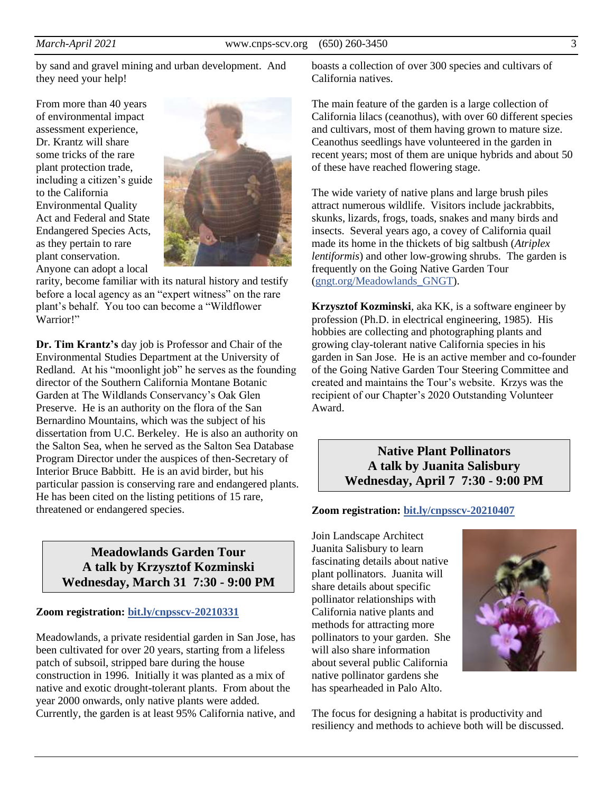by sand and gravel mining and urban development. And they need your help!

From more than 40 years of environmental impact assessment experience, Dr. Krantz will share some tricks of the rare plant protection trade, including a citizen's guide to the California Environmental Quality Act and Federal and State Endangered Species Acts, as they pertain to rare plant conservation. Anyone can adopt a local



rarity, become familiar with its natural history and testify before a local agency as an "expert witness" on the rare plant's behalf. You too can become a "Wildflower Warrior!"

**Dr. Tim Krantz's** day job is Professor and Chair of the Environmental Studies Department at the University of Redland. At his "moonlight job" he serves as the founding director of the Southern California Montane Botanic Garden at The Wildlands Conservancy's Oak Glen Preserve. He is an authority on the flora of the San Bernardino Mountains, which was the subject of his dissertation from U.C. Berkeley. He is also an authority on the Salton Sea, when he served as the Salton Sea Database Program Director under the auspices of then-Secretary of Interior Bruce Babbitt. He is an avid birder, but his particular passion is conserving rare and endangered plants. He has been cited on the listing petitions of 15 rare, threatened or endangered species.

# **Meadowlands Garden Tour A talk by Krzysztof Kozminski Wednesday, March 31 7:30 - 9:00 PM**

#### **Zoom registration: [bit.ly/cnpsscv-20210331](https://bit.ly/cnpsscv-20210331)**

Meadowlands, a private residential garden in San Jose, has been cultivated for over 20 years, starting from a lifeless patch of subsoil, stripped bare during the house construction in 1996. Initially it was planted as a mix of native and exotic drought-tolerant plants. From about the year 2000 onwards, only native plants were added. Currently, the garden is at least 95% California native, and

boasts a collection of over 300 species and cultivars of California natives.

The main feature of the garden is a large collection of California lilacs (ceanothus), with over 60 different species and cultivars, most of them having grown to mature size. Ceanothus seedlings have volunteered in the garden in recent years; most of them are unique hybrids and about 50 of these have reached flowering stage.

The wide variety of native plans and large brush piles attract numerous wildlife. Visitors include jackrabbits, skunks, lizards, frogs, toads, snakes and many birds and insects. Several years ago, a covey of California quail made its home in the thickets of big saltbush (*Atriplex lentiformis*) and other low-growing shrubs. The garden is frequently on the Going Native Garden Tour [\(gngt.org/Meadowlands\\_GNGT\)](https://www.gngt.org/GNGT/GardenHT.php?year=2020&gid=baccharis).

**Krzysztof Kozminski**, aka KK, is a software engineer by profession (Ph.D. in electrical engineering, 1985). His hobbies are collecting and photographing plants and growing clay-tolerant native California species in his garden in San Jose. He is an active member and co-founder of the Going Native Garden Tour Steering Committee and created and maintains the Tour's website. Krzys was the recipient of our Chapter's 2020 Outstanding Volunteer Award.

> **Native Plant Pollinators A talk by Juanita Salisbury Wednesday, April 7 7:30 - 9:00 PM**

#### **Zoom registration: [bit.ly/cnpsscv-20210407](https://bit.ly/cnpsscv-20210407)**

Join Landscape Architect Juanita Salisbury to learn fascinating details about native plant pollinators. Juanita will share details about specific pollinator relationships with California native plants and methods for attracting more pollinators to your garden. She will also share information about several public California native pollinator gardens she has spearheaded in Palo Alto.



The focus for designing a habitat is productivity and resiliency and methods to achieve both will be discussed.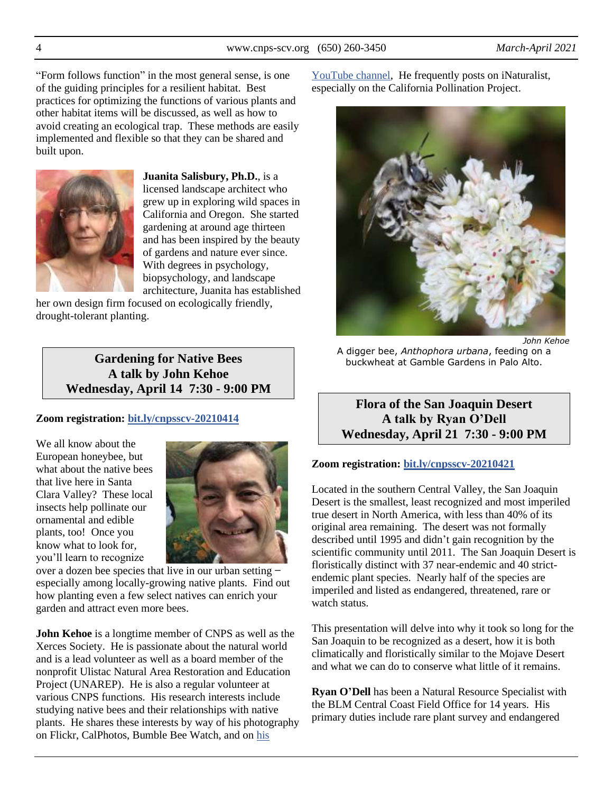"Form follows function" in the most general sense, is one of the guiding principles for a resilient habitat. Best practices for optimizing the functions of various plants and other habitat items will be discussed, as well as how to avoid creating an ecological trap. These methods are easily implemented and flexible so that they can be shared and built upon.



**Juanita Salisbury, Ph.D.**, is a licensed landscape architect who grew up in exploring wild spaces in California and Oregon. She started gardening at around age thirteen and has been inspired by the beauty of gardens and nature ever since. With degrees in psychology, biopsychology, and landscape architecture, Juanita has established

her own design firm focused on ecologically friendly, drought-tolerant planting.

# **Gardening for Native Bees A talk by John Kehoe Wednesday, April 14 7:30 - 9:00 PM**

### **Zoom registration: [bit.ly/cnpsscv-20210414](https://bit.ly/cnpsscv-20210414)**

We all know about the European honeybee, but what about the native bees that live here in Santa Clara Valley? These local insects help pollinate our ornamental and edible plants, too! Once you know what to look for, you'll learn to recognize



over a dozen bee species that live in our urban setting ̶ especially among locally-growing native plants. Find out how planting even a few select natives can enrich your garden and attract even more bees.

**John Kehoe** is a longtime member of CNPS as well as the Xerces Society. He is passionate about the natural world and is a lead volunteer as well as a board member of the nonprofit Ulistac Natural Area Restoration and Education Project (UNAREP). He is also a regular volunteer at various CNPS functions. His research interests include studying native bees and their relationships with native plants. He shares these interests by way of his photography on Flickr, CalPhotos, Bumble Bee Watch, and on [his](https://www.youtube.com/channel/UCPvrZ-lCn0SWnWHjrrDCTjQ/featured) 

[YouTube channel,](https://www.youtube.com/channel/UCPvrZ-lCn0SWnWHjrrDCTjQ/featured) He frequently posts on iNaturalist, especially on the California Pollination Project.



*John Kehoe*

A digger bee, *Anthophora urbana*, feeding on a buckwheat at Gamble Gardens in Palo Alto.

**Flora of the San Joaquin Desert A talk by Ryan O'Dell Wednesday, April 21 7:30 - 9:00 PM**

#### **Zoom registration: [bit.ly/cnpsscv-20210421](https://bit.ly/cnpsscv-20210421)**

Located in the southern Central Valley, the San Joaquin Desert is the smallest, least recognized and most imperiled true desert in North America, with less than 40% of its original area remaining. The desert was not formally described until 1995 and didn't gain recognition by the scientific community until 2011. The San Joaquin Desert is floristically distinct with 37 near-endemic and 40 strictendemic plant species. Nearly half of the species are imperiled and listed as endangered, threatened, rare or watch status.

This presentation will delve into why it took so long for the San Joaquin to be recognized as a desert, how it is both climatically and floristically similar to the Mojave Desert and what we can do to conserve what little of it remains.

**Ryan O'Dell** has been a Natural Resource Specialist with the BLM Central Coast Field Office for 14 years. His primary duties include rare plant survey and endangered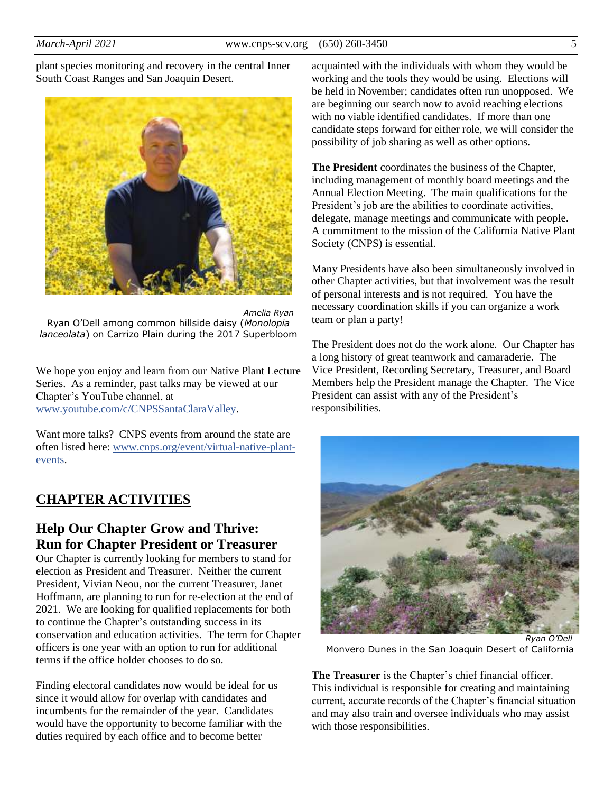plant species monitoring and recovery in the central Inner South Coast Ranges and San Joaquin Desert.



*Amelia Ryan* Ryan O'Dell among common hillside daisy (*Monolopia lanceolata*) on Carrizo Plain during the 2017 Superbloom

We hope you enjoy and learn from our Native Plant Lecture Series. As a reminder, past talks may be viewed at our Chapter's YouTube channel, at [www.youtube.com/c/CNPSSantaClaraValley.](https://www.youtube.com/c/CNPSSantaClaraValley)

Want more talks? CNPS events from around the state are often listed here: [www.cnps.org/event/virtual-native-plant](https://www.cnps.org/event/virtual-native-plant-events)[events.](https://www.cnps.org/event/virtual-native-plant-events)

# **CHAPTER ACTIVITIES**

# **Help Our Chapter Grow and Thrive: Run for Chapter President or Treasurer**

Our Chapter is currently looking for members to stand for election as President and Treasurer. Neither the current President, Vivian Neou, nor the current Treasurer, Janet Hoffmann, are planning to run for re-election at the end of 2021. We are looking for qualified replacements for both to continue the Chapter's outstanding success in its conservation and education activities. The term for Chapter officers is one year with an option to run for additional terms if the office holder chooses to do so.

Finding electoral candidates now would be ideal for us since it would allow for overlap with candidates and incumbents for the remainder of the year. Candidates would have the opportunity to become familiar with the duties required by each office and to become better

acquainted with the individuals with whom they would be working and the tools they would be using. Elections will be held in November; candidates often run unopposed. We are beginning our search now to avoid reaching elections with no viable identified candidates. If more than one candidate steps forward for either role, we will consider the possibility of job sharing as well as other options.

**The President** coordinates the business of the Chapter, including management of monthly board meetings and the Annual Election Meeting. The main qualifications for the President's job are the abilities to coordinate activities, delegate, manage meetings and communicate with people. A commitment to the mission of the California Native Plant Society (CNPS) is essential.

Many Presidents have also been simultaneously involved in other Chapter activities, but that involvement was the result of personal interests and is not required. You have the necessary coordination skills if you can organize a work team or plan a party!

The President does not do the work alone. Our Chapter has a long history of great teamwork and camaraderie. The Vice President, Recording Secretary, Treasurer, and Board Members help the President manage the Chapter. The Vice President can assist with any of the President's responsibilities.



Monvero Dunes in the San Joaquin Desert of California

**The Treasurer** is the Chapter's chief financial officer. This individual is responsible for creating and maintaining current, accurate records of the Chapter's financial situation and may also train and oversee individuals who may assist with those responsibilities.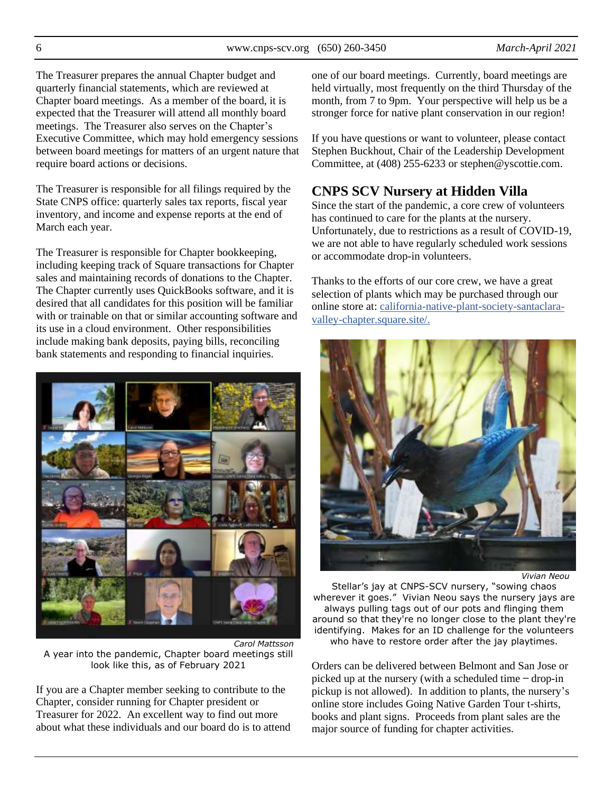The Treasurer prepares the annual Chapter budget and quarterly financial statements, which are reviewed at Chapter board meetings. As a member of the board, it is expected that the Treasurer will attend all monthly board meetings. The Treasurer also serves on the Chapter's Executive Committee, which may hold emergency sessions between board meetings for matters of an urgent nature that require board actions or decisions.

The Treasurer is responsible for all filings required by the State CNPS office: quarterly sales tax reports, fiscal year inventory, and income and expense reports at the end of March each year.

The Treasurer is responsible for Chapter bookkeeping, including keeping track of Square transactions for Chapter sales and maintaining records of donations to the Chapter. The Chapter currently uses QuickBooks software, and it is desired that all candidates for this position will be familiar with or trainable on that or similar accounting software and its use in a cloud environment. Other responsibilities include making bank deposits, paying bills, reconciling bank statements and responding to financial inquiries.



*Carol Mattsson* A year into the pandemic, Chapter board meetings still look like this, as of February 2021

If you are a Chapter member seeking to contribute to the Chapter, consider running for Chapter president or Treasurer for 2022. An excellent way to find out more about what these individuals and our board do is to attend one of our board meetings. Currently, board meetings are held virtually, most frequently on the third Thursday of the month, from 7 to 9pm. Your perspective will help us be a stronger force for native plant conservation in our region!

If you have questions or want to volunteer, please contact Stephen Buckhout, Chair of the Leadership Development Committee, at (408) 255-6233 or stephen@yscottie.com.

# **CNPS SCV Nursery at Hidden Villa**

Since the start of the pandemic, a core crew of volunteers has continued to care for the plants at the nursery. Unfortunately, due to restrictions as a result of COVID-19, we are not able to have regularly scheduled work sessions or accommodate drop-in volunteers.

Thanks to the efforts of our core crew, we have a great selection of plants which may be purchased through our online store at: [california-native-plant-society-santaclara](https://california-native-plant-society-santaclara-valley-chapter.square.site/)[valley-chapter.square.site/.](https://california-native-plant-society-santaclara-valley-chapter.square.site/)



*Vivian Neou*

Stellar's jay at CNPS-SCV nursery, "sowing chaos wherever it goes." Vivian Neou says the nursery jays are always pulling tags out of our pots and flinging them around so that they're no longer close to the plant they're identifying. Makes for an ID challenge for the volunteers who have to restore order after the jay playtimes.

Orders can be delivered between Belmont and San Jose or picked up at the nursery (with a scheduled time  $-\text{drop-in}$ ) pickup is not allowed). In addition to plants, the nursery's online store includes Going Native Garden Tour t-shirts, books and plant signs. Proceeds from plant sales are the major source of funding for chapter activities.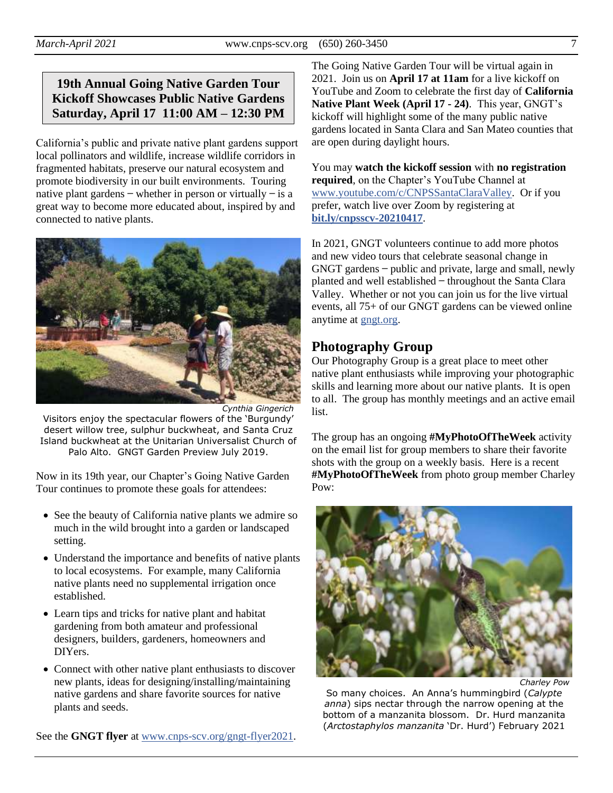# **19th Annual Going Native Garden Tour Kickoff Showcases Public Native Gardens Saturday, April 17 11:00 AM – 12:30 PM**

California's public and private native plant gardens support local pollinators and wildlife, increase wildlife corridors in fragmented habitats, preserve our natural ecosystem and promote biodiversity in our built environments. Touring native plant gardens  $-$  whether in person or virtually  $-$  is a great way to become more educated about, inspired by and connected to native plants.



*Cynthia Gingerich* Visitors enjoy the spectacular flowers of the 'Burgundy' desert willow tree, sulphur buckwheat, and Santa Cruz Island buckwheat at the Unitarian Universalist Church of Palo Alto. GNGT Garden Preview July 2019.

Now in its 19th year, our Chapter's Going Native Garden Tour continues to promote these goals for attendees:

- See the beauty of California native plants we admire so much in the wild brought into a garden or landscaped setting.
- Understand the importance and benefits of native plants to local ecosystems. For example, many California native plants need no supplemental irrigation once established.
- Learn tips and tricks for native plant and habitat gardening from both amateur and professional designers, builders, gardeners, homeowners and DIYers.
- Connect with other native plant enthusiasts to discover new plants, ideas for designing/installing/maintaining native gardens and share favorite sources for native plants and seeds.

See the **GNGT flyer** at [www.cnps-scv.org/gngt-flyer2021.](https://www.cnps-scv.org/images/flyers/going-native-garden-tour2021.pdf)

The Going Native Garden Tour will be virtual again in 2021. Join us on **April 17 at 11am** for a live kickoff on YouTube and Zoom to celebrate the first day of **California Native Plant Week (April 17 - 24)**. This year, GNGT's kickoff will highlight some of the many public native gardens located in Santa Clara and San Mateo counties that are open during daylight hours.

You may **watch the kickoff session** with **no registration required**, on the Chapter's YouTube Channel at [www.youtube.com/c/CNPSSantaClaraValley.](https://www.youtube.com/c/CNPSSantaClaraValley) Or if you prefer, watch live over Zoom by registering at **[bit.ly/cnpsscv-20210417](https://bit.ly/cnpsscv-20210417)**.

In 2021, GNGT volunteers continue to add more photos and new video tours that celebrate seasonal change in GNGT gardens ̶ public and private, large and small, newly planted and well established ̶ throughout the Santa Clara Valley. Whether or not you can join us for the live virtual events, all 75+ of our GNGT gardens can be viewed online anytime at [gngt.org.](https://gngt.org/)

# **Photography Group**

Our Photography Group is a great place to meet other native plant enthusiasts while improving your photographic skills and learning more about our native plants. It is open to all. The group has monthly meetings and an active email list.

The group has an ongoing **#MyPhotoOfTheWeek** activity on the email list for group members to share their favorite shots with the group on a weekly basis. Here is a recent **#MyPhotoOfTheWeek** from photo group member Charley Pow:



*Charley Pow*

So many choices. An Anna's hummingbird (*Calypte anna*) sips nectar through the narrow opening at the bottom of a manzanita blossom. Dr. Hurd manzanita (*Arctostaphylos manzanita* 'Dr. Hurd') February 2021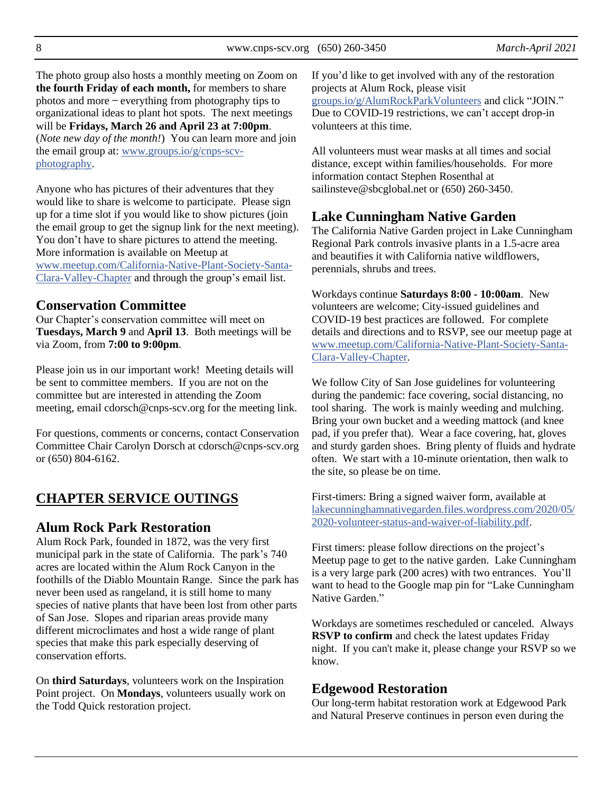8 www.cnps-scv.org (650) 260-3450 *March-April 2021*

The photo group also hosts a monthly meeting on Zoom on **the fourth Friday of each month,** for members to share photos and more ̶ everything from photography tips to organizational ideas to plant hot spots. The next meetings will be **Fridays, March 26 and April 23 at 7:00pm**. (*Note new day of the month!*) You can learn more and join the email group at: [www.groups.io/g/cnps-scv](https://www.groups.io/g/CNPS-SCV-Photography)[photography.](https://www.groups.io/g/CNPS-SCV-Photography)

Anyone who has pictures of their adventures that they would like to share is welcome to participate. Please sign up for a time slot if you would like to show pictures (join the email group to get the signup link for the next meeting). You don't have to share pictures to attend the meeting. More information is available on Meetup at [www.meetup.com/California-Native-Plant-Society-Santa-](https://www.meetup.com/California-Native-Plant-Society-Santa-Clara-Valley-Chapter/)[Clara-Valley-Chapter](https://www.meetup.com/California-Native-Plant-Society-Santa-Clara-Valley-Chapter/) and through the group's email list.

### **Conservation Committee**

Our Chapter's conservation committee will meet on **Tuesdays, March 9** and **April 13**. Both meetings will be via Zoom, from **7:00 to 9:00pm**.

Please join us in our important work! Meeting details will be sent to committee members. If you are not on the committee but are interested in attending the Zoom meeting, email cdorsch@cnps-scv.org for the meeting link.

For questions, comments or concerns, contact Conservation Committee Chair Carolyn Dorsch at cdorsch@cnps-scv.org or (650) 804-6162.

# **CHAPTER SERVICE OUTINGS**

### **Alum Rock Park Restoration**

Alum Rock Park, founded in 1872, was the very first municipal park in the state of California. The park's 740 acres are located within the Alum Rock Canyon in the foothills of the Diablo Mountain Range. Since the park has never been used as rangeland, it is still home to many species of native plants that have been lost from other parts of San Jose. Slopes and riparian areas provide many different microclimates and host a wide range of plant species that make this park especially deserving of conservation efforts.

On **third Saturdays**, volunteers work on the Inspiration Point project. On **Mondays**, volunteers usually work on the Todd Quick restoration project.

If you'd like to get involved with any of the restoration projects at Alum Rock, please visit [groups.io/g/AlumRockParkVolunteers](https://groups.io/g/AlumRockParkVolunteers) and click "JOIN." Due to COVID-19 restrictions, we can't accept drop-in volunteers at this time.

All volunteers must wear masks at all times and social distance, except within families/households. For more information contact Stephen Rosenthal at sailinsteve@sbcglobal.net or (650) 260-3450.

# **Lake Cunningham Native Garden**

The California Native Garden project in Lake Cunningham Regional Park controls invasive plants in a 1.5-acre area and beautifies it with California native wildflowers, perennials, shrubs and trees.

Workdays continue **Saturdays 8:00 - 10:00am**. New volunteers are welcome; City-issued guidelines and COVID-19 best practices are followed. For complete details and directions and to RSVP, see our meetup page at [www.meetup.com/California-Native-Plant-Society-Santa-](https://www.meetup.com/California-Native-Plant-Society-Santa-Clara-Valley-Chapter/)[Clara-Valley-Chapter.](https://www.meetup.com/California-Native-Plant-Society-Santa-Clara-Valley-Chapter/)

We follow City of San Jose guidelines for volunteering during the pandemic: face covering, social distancing, no tool sharing. The work is mainly weeding and mulching. Bring your own bucket and a weeding mattock (and knee pad, if you prefer that). Wear a face covering, hat, gloves and sturdy garden shoes. Bring plenty of fluids and hydrate often. We start with a 10-minute orientation, then walk to the site, so please be on time.

First-timers: Bring a signed waiver form, available at [lakecunninghamnativegarden.files.wordpress.com/2020/05/](https://lakecunninghamnativegarden.files.wordpress.com/2020/05/2020-volunteer-status-and-waiver-of-liability.pdf) [2020-volunteer-status-and-waiver-of-liability.pdf.](https://lakecunninghamnativegarden.files.wordpress.com/2020/05/2020-volunteer-status-and-waiver-of-liability.pdf)

First timers: please follow directions on the project's Meetup page to get to the native garden. Lake Cunningham is a very large park (200 acres) with two entrances. You'll want to head to the Google map pin for "Lake Cunningham Native Garden<sup>"</sup>

Workdays are sometimes rescheduled or canceled. Always **RSVP to confirm** and check the latest updates Friday night. If you can't make it, please change your RSVP so we know.

### **Edgewood Restoration**

Our long-term habitat restoration work at Edgewood Park and Natural Preserve continues in person even during the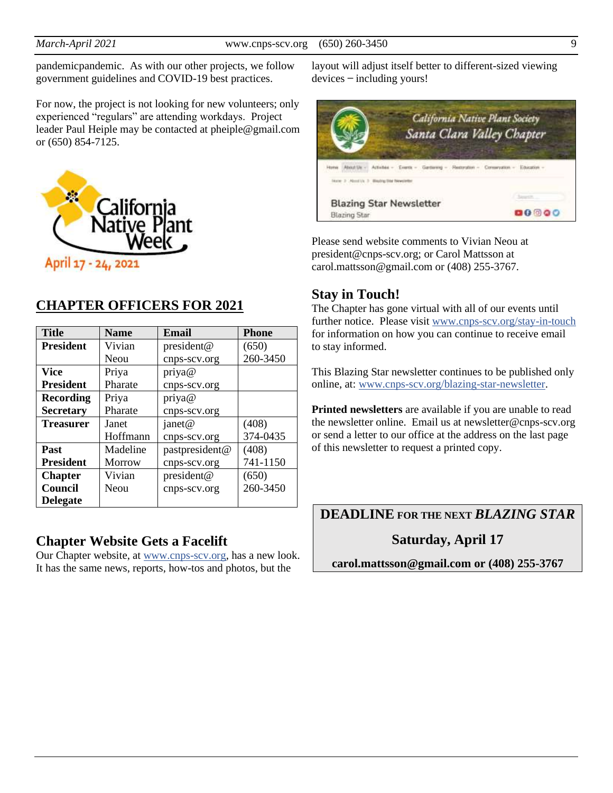pandemicpandemic. As with our other projects, we follow government guidelines and COVID-19 best practices.

For now, the project is not looking for new volunteers; only experienced "regulars" are attending workdays. Project leader Paul Heiple may be contacted at pheiple@gmail.com or (650) 854-7125.



# **CHAPTER OFFICERS FOR 2021**

| <b>Title</b>     | <b>Name</b>   | Email          | <b>Phone</b> |
|------------------|---------------|----------------|--------------|
| <b>President</b> | Vivian        | president@     | (650)        |
|                  | Neou          | cnps-scv.org   | 260-3450     |
| <b>Vice</b>      | Priya         | priya@         |              |
| <b>President</b> | Pharate       | cnps-scv.org   |              |
| <b>Recording</b> | Priya         | priya@         |              |
| <b>Secretary</b> | Pharate       | cnps-scv.org   |              |
| <b>Treasurer</b> | Janet         | janet@         | (408)        |
|                  | Hoffmann      | cnps-scv.org   | 374-0435     |
| Past             | Madeline      | pastpresident@ | (408)        |
| <b>President</b> | <b>Morrow</b> | cnps-scv.org   | 741-1150     |
| <b>Chapter</b>   | Vivian        | president@     | (650)        |
| Council          | Neou          | cnps-scv.org   | 260-3450     |
| <b>Delegate</b>  |               |                |              |

# **Chapter Website Gets a Facelift**

Our Chapter website, at [www.cnps-scv.org,](https://www.cnps-scv.org/) has a new look. It has the same news, reports, how-tos and photos, but the

layout will adjust itself better to different-sized viewing  $devices$  – including yours!



Please send website comments to Vivian Neou at president@cnps-scv.org; or Carol Mattsson at carol.mattsson@gmail.com or (408) 255-3767.

# **Stay in Touch!**

The Chapter has gone virtual with all of our events until further notice. Please visit [www.cnps-scv.org/stay-in-touch](https://www.cnps-scv.org/stay-in-touch) for information on how you can continue to receive email to stay informed.

This Blazing Star newsletter continues to be published only online, at: [www.cnps-scv.org/blazing-star-newsletter.](https://www.cnps-scv.org/blazing-star-newsletter)

**Printed newsletters** are available if you are unable to read the newsletter online. Email us at newsletter@cnps-scv.org or send a letter to our office at the address on the last page of this newsletter to request a printed copy.

**DEADLINE FOR THE NEXT** *BLAZING STAR*

**Saturday, April 17**

**carol.mattsson@gmail.com or (408) 255-3767**